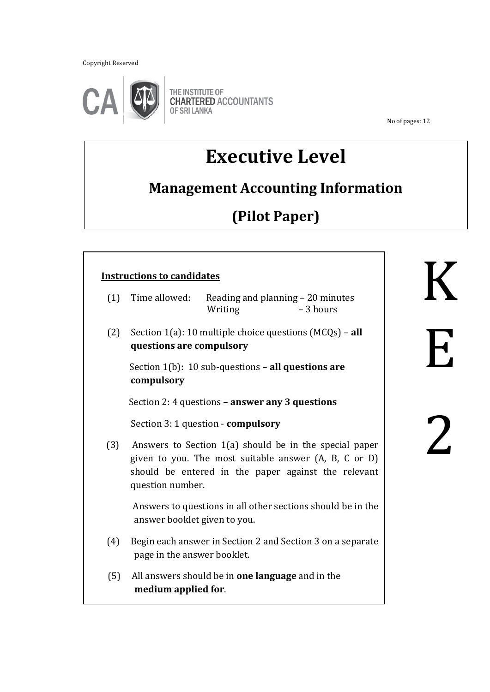Copyright Reserved



THE INSTITUTE OF **CHARTERED ACCOUNTANTS** OF SRI LANKA

No of pages: 12

K

E

2

# **Executive Level**

### **Management Accounting Information**

## **(Pilot Paper)**

### ֺ֝  **Instructions to candidates** (1) Time allowed: Reading and planning – 20 minutes Writing – 3 hours (2) Section 1(a): 10 multiple choice questions (MCQs) – **all questions are compulsory** Section 1(b): 10 sub-questions – **all questions are compulsory** Section 2: 4 questions – **answer any 3 questions** Section 3: 1 question - **compulsory** (3) Answers to Section 1(a) should be in the special paper given to you. The most suitable answer (A, B, C or D) should be entered in the paper against the relevant question number. Answers to questions in all other sections should be in the answer booklet given to you. (4) Begin each answer in Section 2 and Section 3 on a separate page in the answer booklet. (5) All answers should be in **one language** and in the **medium applied for**.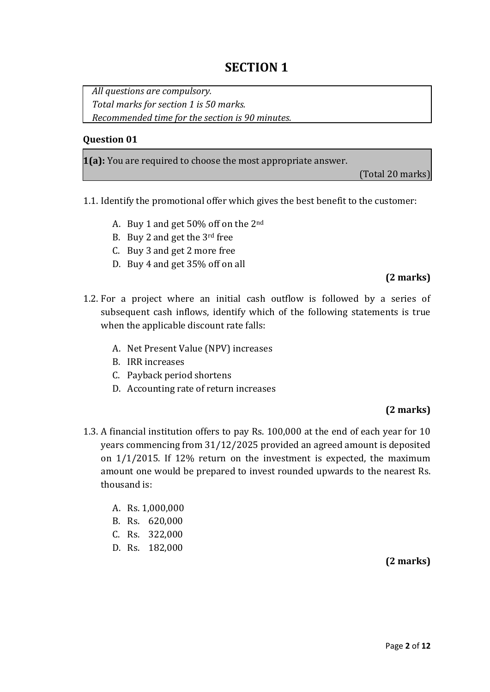### **SECTION 1**

*All questions are compulsory. Total marks for section 1 is 50 marks. Recommended time for the section is 90 minutes.*

#### **Question 01**

**1(a):** You are required to choose the most appropriate answer.

(Total 20 marks)

- 1.1. Identify the promotional offer which gives the best benefit to the customer:
	- A. Buy 1 and get 50% off on the 2nd
	- B. Buy 2 and get the 3rd free
	- C. Buy 3 and get 2 more free
	- D. Buy 4 and get 35% off on all

#### **(2 marks)**

- 1.2. For a project where an initial cash outflow is followed by a series of subsequent cash inflows, identify which of the following statements is true when the applicable discount rate falls:
	- A. Net Present Value (NPV) increases
	- B. IRR increases
	- C. Payback period shortens
	- D. Accounting rate of return increases

#### **(2 marks)**

- 1.3. A financial institution offers to pay Rs. 100,000 at the end of each year for 10 years commencing from 31/12/2025 provided an agreed amount is deposited on 1/1/2015. If 12% return on the investment is expected, the maximum amount one would be prepared to invest rounded upwards to the nearest Rs. thousand is:
	- A. Rs. 1,000,000
	- B. Rs. 620,000
	- C. Rs. 322,000
	- D. Rs. 182,000

**(2 marks)**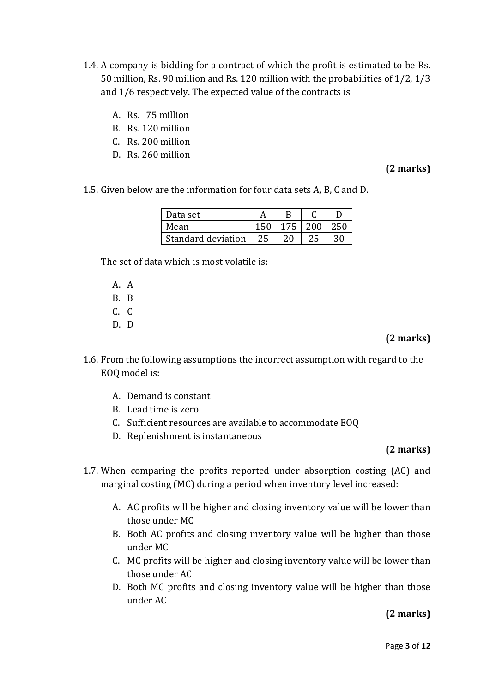- 1.4. A company is bidding for a contract of which the profit is estimated to be Rs. 50 million, Rs. 90 million and Rs. 120 million with the probabilities of 1/2, 1/3 and 1/6 respectively. The expected value of the contracts is
	- A. Rs. 75 million
	- B. Rs. 120 million
	- C. Rs. 200 million
	- D. Rs. 260 million

#### **(2 marks)**

1.5. Given below are the information for four data sets A, B, C and D.

| Data set           |     |     |     |     |
|--------------------|-----|-----|-----|-----|
| Mean               |     | 175 | 200 | 250 |
| Standard deviation | -25 | 20  |     | 30  |

The set of data which is most volatile is:

- A. A B. B  $C_{\alpha}$   $C_{\beta}$
- D. D

#### **(2 marks)**

- 1.6. From the following assumptions the incorrect assumption with regard to the EOQ model is:
	- A. Demand is constant
	- B. Lead time is zero
	- C. Sufficient resources are available to accommodate EOQ
	- D. Replenishment is instantaneous

#### **(2 marks)**

- 1.7. When comparing the profits reported under absorption costing (AC) and marginal costing (MC) during a period when inventory level increased:
	- A. AC profits will be higher and closing inventory value will be lower than those under MC
	- B. Both AC profits and closing inventory value will be higher than those under MC
	- C. MC profits will be higher and closing inventory value will be lower than those under AC
	- D. Both MC profits and closing inventory value will be higher than those under AC

**(2 marks)**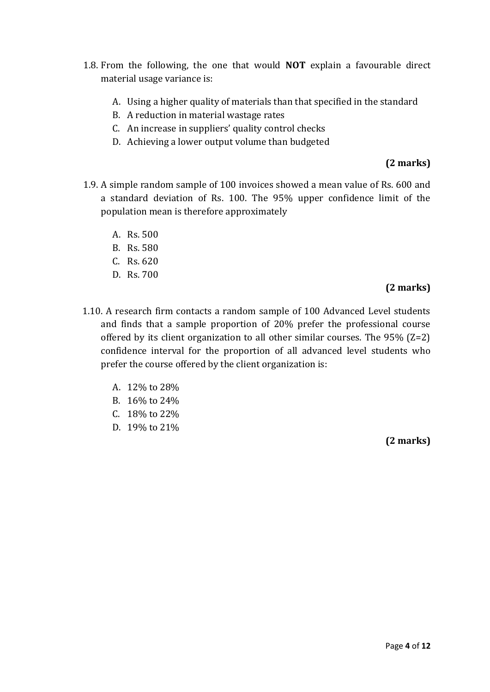- 1.8. From the following, the one that would **NOT** explain a favourable direct material usage variance is:
	- A. Using a higher quality of materials than that specified in the standard
	- B. A reduction in material wastage rates
	- C. An increase in suppliers' quality control checks
	- D. Achieving a lower output volume than budgeted

#### **(2 marks)**

- 1.9. A simple random sample of 100 invoices showed a mean value of Rs. 600 and a standard deviation of Rs. 100. The 95% upper confidence limit of the population mean is therefore approximately
	- A. Rs. 500
	- B. Rs. 580
	- C. Rs. 620
	- D. Rs. 700

#### **(2 marks)**

- 1.10. A research firm contacts a random sample of 100 Advanced Level students and finds that a sample proportion of 20% prefer the professional course offered by its client organization to all other similar courses. The 95% (Z=2) confidence interval for the proportion of all advanced level students who prefer the course offered by the client organization is:
	- A. 12% to 28%
	- B. 16% to 24%
	- C. 18% to 22%
	- D. 19% to 21%

**(2 marks)**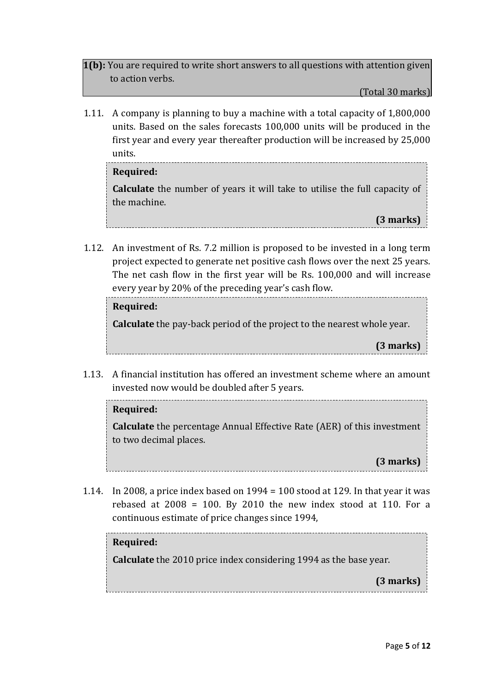**1(b):** You are required to write short answers to all questions with attention given to action verbs.

(Total 30 marks)

1.11. A company is planning to buy a machine with a total capacity of 1,800,000 units. Based on the sales forecasts 100,000 units will be produced in the first year and every year thereafter production will be increased by 25,000 units.

#### **Required:**

**Calculate** the number of years it will take to utilise the full capacity of the machine.

**(3 marks)**

1.12. An investment of Rs. 7.2 million is proposed to be invested in a long term project expected to generate net positive cash flows over the next 25 years. The net cash flow in the first year will be Rs. 100,000 and will increase every year by 20% of the preceding year's cash flow.

#### **Required:**

**Calculate** the pay-back period of the project to the nearest whole year.

**(3 marks)**

1.13. A financial institution has offered an investment scheme where an amount invested now would be doubled after 5 years.

## **Required: Calculate** the percentage Annual Effective Rate (AER) of this investment to two decimal places.

**(3 marks)**

1.14. In 2008, a price index based on  $1994 = 100$  stood at 129. In that year it was rebased at  $2008 = 100$ . By 2010 the new index stood at 110. For a continuous estimate of price changes since 1994,

#### **Required:**

**Calculate** the 2010 price index considering 1994 as the base year.

**(3 marks)**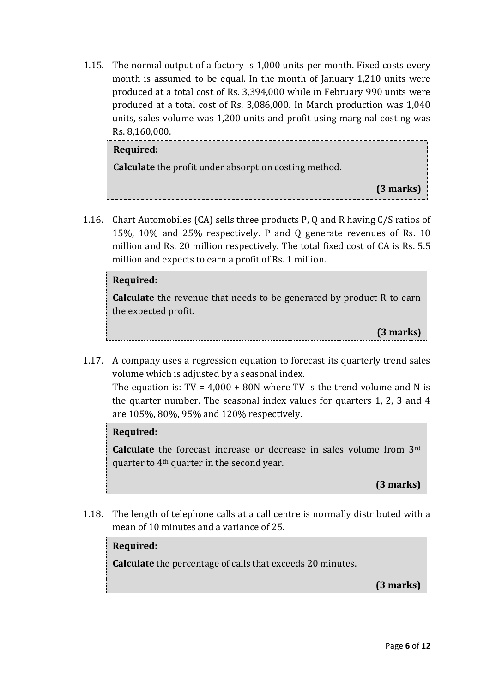1.15. The normal output of a factory is 1,000 units per month. Fixed costs every month is assumed to be equal. In the month of January 1,210 units were produced at a total cost of Rs. 3,394,000 while in February 990 units were produced at a total cost of Rs. 3,086,000. In March production was 1,040 units, sales volume was 1,200 units and profit using marginal costing was Rs. 8,160,000.

| Required:                                                    |           |
|--------------------------------------------------------------|-----------|
| <b>Calculate</b> the profit under absorption costing method. |           |
|                                                              | (3 marks) |
|                                                              |           |

1.16. Chart Automobiles (CA) sells three products P, Q and R having C/S ratios of 15%, 10% and 25% respectively. P and Q generate revenues of Rs. 10 million and Rs. 20 million respectively. The total fixed cost of CA is Rs. 5.5 million and expects to earn a profit of Rs. 1 million.

#### **Required:**

**Calculate** the revenue that needs to be generated by product R to earn the expected profit.

- **(3 marks)**
- 1.17. A company uses a regression equation to forecast its quarterly trend sales volume which is adjusted by a seasonal index.

The equation is:  $TV = 4,000 + 80N$  where TV is the trend volume and N is the equation is: 17 1,888 F 881 where 17 is the trend volume and 11 is the quarter number. The seasonal index values for quarters 1, 2, 3 and 4 are 105%, 80%, 95% and 120% respectively.

#### **Required:**

**Calculate** the forecast increase or decrease in sales volume from 3rd quarter to 4th quarter in the second year.

**(3 marks)**

1.18. The length of telephone calls at a call centre is normally distributed with a mean of 10 minutes and a variance of 25.

**Required: Calculate** the percentage of calls that exceeds 20 minutes. **(3 marks)**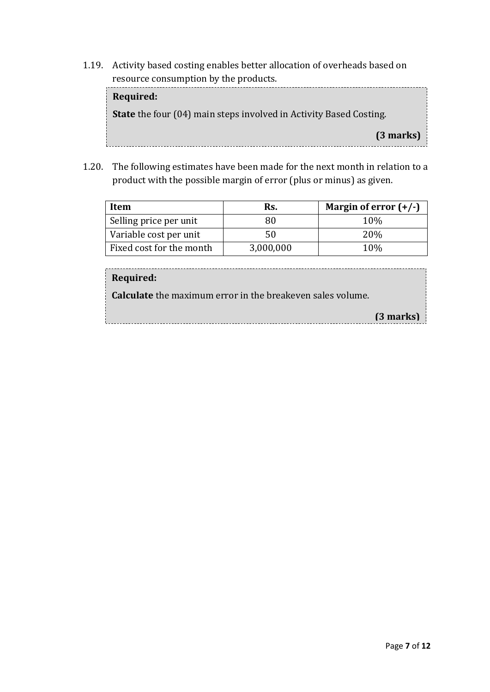1.19. Activity based costing enables better allocation of overheads based on resource consumption by the products.

**Required: State** the four (04) main steps involved in Activity Based Costing. **(3 marks)**

1.20. The following estimates have been made for the next month in relation to a product with the possible margin of error (plus or minus) as given.

| Item                     | Rs.       | Margin of error $(+/-)$ |
|--------------------------|-----------|-------------------------|
| Selling price per unit   | 80        | 10 <sub>%</sub>         |
| Variable cost per unit   | 50        | 20%                     |
| Fixed cost for the month | 3,000,000 | 10%                     |

#### **Required:**

**Calculate** the maximum error in the breakeven sales volume.

| $(3$ marks) |
|-------------|
|             |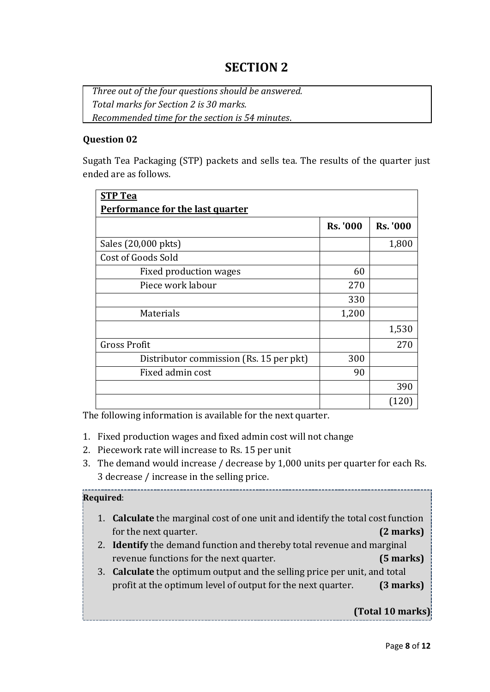*Three out of the four questions should be answered. Total marks for Section 2 is 30 marks. Recommended time for the section is 54 minutes*.

#### **Question 02**

Sugath Tea Packaging (STP) packets and sells tea. The results of the quarter just ended are as follows.

| <b>STP Tea</b>                          |                 |                 |
|-----------------------------------------|-----------------|-----------------|
| <b>Performance for the last quarter</b> |                 |                 |
|                                         | <b>Rs. '000</b> | <b>Rs. '000</b> |
| Sales (20,000 pkts)                     |                 | 1,800           |
| Cost of Goods Sold                      |                 |                 |
| Fixed production wages                  | 60              |                 |
| Piece work labour                       | 270             |                 |
|                                         | 330             |                 |
| Materials                               | 1,200           |                 |
|                                         |                 | 1,530           |
| <b>Gross Profit</b>                     |                 | 270             |
| Distributor commission (Rs. 15 per pkt) | 300             |                 |
| Fixed admin cost                        | 90              |                 |
|                                         |                 | 390             |
|                                         |                 | (120)           |

The following information is available for the next quarter.

- 1. Fixed production wages and fixed admin cost will not change
- 2. Piecework rate will increase to Rs. 15 per unit
- 3. The demand would increase / decrease by 1,000 units per quarter for each Rs. 3 decrease / increase in the selling price.

#### **Required**:

- 1. **Calculate** the marginal cost of one unit and identify the total cost function for the next quarter. **(2 marks)**
- 2. **Identify** the demand function and thereby total revenue and marginal revenue functions for the next quarter. **(5 marks)**
- 3. **Calculate** the optimum output and the selling price per unit, and total profit at the optimum level of output for the next quarter. **(3 marks)**

#### **(Total 10 marks)**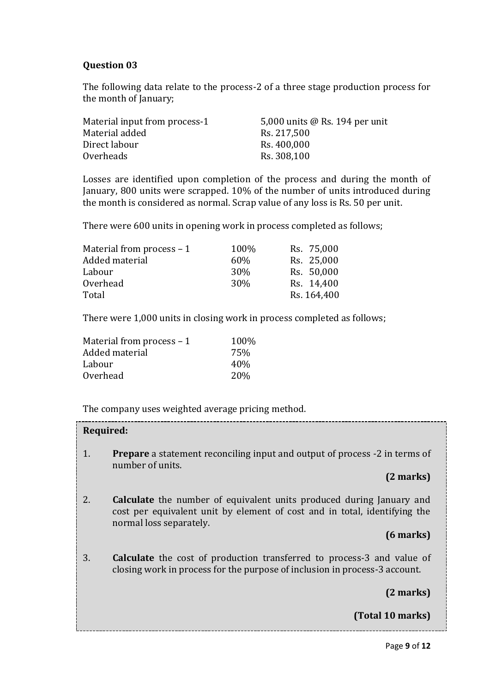#### **Question 03**

The following data relate to the process-2 of a three stage production process for the month of January;

| Material input from process-1 | 5,000 units @ Rs. 194 per unit |
|-------------------------------|--------------------------------|
| Material added                | Rs. 217,500                    |
| Direct labour                 | Rs. 400,000                    |
| Overheads                     | Rs. 308,100                    |

Losses are identified upon completion of the process and during the month of January, 800 units were scrapped. 10% of the number of units introduced during the month is considered as normal. Scrap value of any loss is Rs. 50 per unit.

There were 600 units in opening work in process completed as follows;

| Material from process $-1$ | 100% | Rs. 75,000  |
|----------------------------|------|-------------|
| Added material             | 60%  | Rs. 25,000  |
| Labour                     | 30%  | Rs. 50,000  |
| Overhead                   | 30\% | Rs. 14,400  |
| Total                      |      | Rs. 164,400 |

There were 1,000 units in closing work in process completed as follows;

| Material from process - 1 | 100%            |
|---------------------------|-----------------|
| Added material            | 75%             |
| Labour                    | 40%             |
| Overhead                  | 20 <sub>%</sub> |

The company uses weighted average pricing method.

| Required:              |                                                                                                                                                                                     |
|------------------------|-------------------------------------------------------------------------------------------------------------------------------------------------------------------------------------|
| 1.<br>number of units. | <b>Prepare</b> a statement reconciling input and output of process -2 in terms of                                                                                                   |
|                        | (2 marks)                                                                                                                                                                           |
| 2.                     | <b>Calculate</b> the number of equivalent units produced during January and<br>cost per equivalent unit by element of cost and in total, identifying the<br>normal loss separately. |
|                        | $(6$ marks)                                                                                                                                                                         |
| 3.                     | <b>Calculate</b> the cost of production transferred to process-3 and value of<br>closing work in process for the purpose of inclusion in process-3 account.                         |
|                        | (2 marks)                                                                                                                                                                           |
|                        | (Total 10 marks)                                                                                                                                                                    |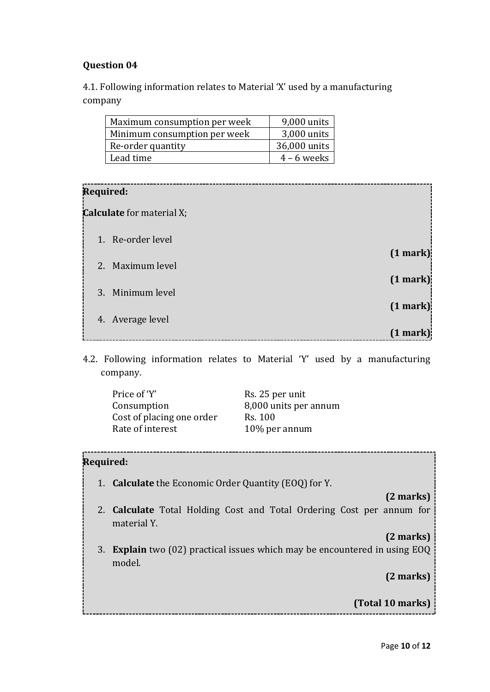#### **Question 04**

4.1. Following information relates to Material 'X' used by a manufacturing company

| Maximum consumption per week | 9,000 units   |
|------------------------------|---------------|
| Minimum consumption per week | 3,000 units   |
| Re-order quantity            | 36,000 units  |
| Lead time                    | $4 - 6$ weeks |

#### **Required:**

**Calculate** for material X;

| laiculate foi thateith A; |               |
|---------------------------|---------------|
| 1. Re-order level         |               |
| 2. Maximum level          | (1 mark)      |
|                           | $(1$ mark $)$ |
| 3. Minimum level          | (1 mark)      |
| 4. Average level          |               |
|                           | (1 mark)      |

4.2. Following information relates to Material 'Y' used by a manufacturing company.

| Price of 'Y'              | Rs. 25 per unit       |
|---------------------------|-----------------------|
| Consumption               | 8,000 units per annum |
| Cost of placing one order | Rs. 100               |
| Rate of interest          | 10% per annum         |

#### **Required:**

1. **Calculate** the Economic Order Quantity (EOQ) for Y.

#### **(2 marks)**

2. **Calculate** Total Holding Cost and Total Ordering Cost per annum for material Y.

#### **(2 marks)**

3. **Explain** two (02) practical issues which may be encountered in using EOQ model.

**(2 marks)**

**(Total 10 marks)**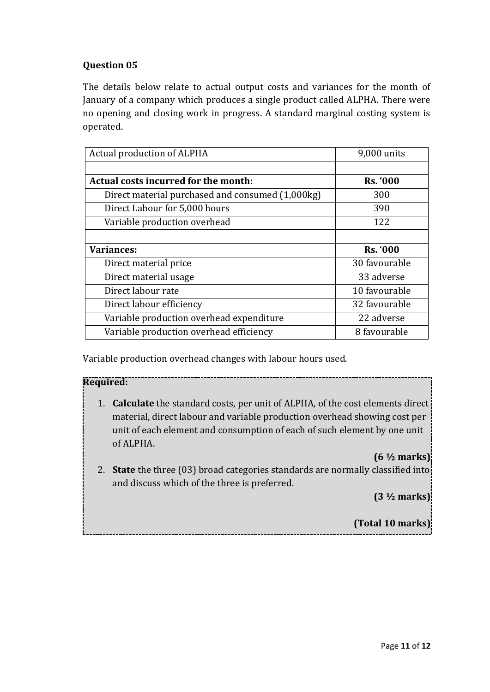#### **Question 05**

The details below relate to actual output costs and variances for the month of January of a company which produces a single product called ALPHA. There were no opening and closing work in progress. A standard marginal costing system is operated.

| Actual production of ALPHA                       | 9,000 units     |
|--------------------------------------------------|-----------------|
|                                                  |                 |
| Actual costs incurred for the month:             | <b>Rs. '000</b> |
| Direct material purchased and consumed (1,000kg) | 300             |
| Direct Labour for 5,000 hours                    | 390             |
| Variable production overhead                     | 122             |
|                                                  |                 |
| <b>Variances:</b>                                | <b>Rs. '000</b> |
| Direct material price                            | 30 favourable   |
| Direct material usage                            | 33 adverse      |
| Direct labour rate                               | 10 favourable   |
| Direct labour efficiency                         | 32 favourable   |
| Variable production overhead expenditure         | 22 adverse      |
| Variable production overhead efficiency          | 8 favourable    |

Variable production overhead changes with labour hours used.

#### **Required:**

1. **Calculate** the standard costs, per unit of ALPHA, of the cost elements direct material, direct labour and variable production overhead showing cost per unit of each element and consumption of each of such element by one unit of ALPHA.

#### **(6 ½ marks)**

2. **State** the three (03) broad categories standards are normally classified into and discuss which of the three is preferred.

**(3 ½ marks)**

**(Total 10 marks)**